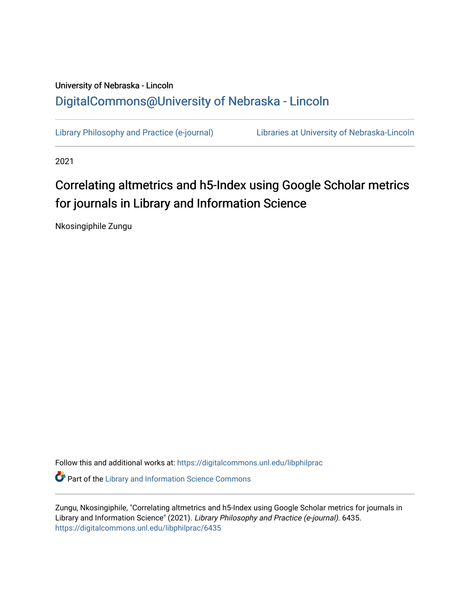## University of Nebraska - Lincoln [DigitalCommons@University of Nebraska - Lincoln](https://digitalcommons.unl.edu/)

[Library Philosophy and Practice \(e-journal\)](https://digitalcommons.unl.edu/libphilprac) [Libraries at University of Nebraska-Lincoln](https://digitalcommons.unl.edu/libraries) 

2021

# Correlating altmetrics and h5-Index using Google Scholar metrics for journals in Library and Information Science

Nkosingiphile Zungu

Follow this and additional works at: [https://digitalcommons.unl.edu/libphilprac](https://digitalcommons.unl.edu/libphilprac?utm_source=digitalcommons.unl.edu%2Flibphilprac%2F6435&utm_medium=PDF&utm_campaign=PDFCoverPages)  **C** Part of the Library and Information Science Commons

Zungu, Nkosingiphile, "Correlating altmetrics and h5-Index using Google Scholar metrics for journals in Library and Information Science" (2021). Library Philosophy and Practice (e-journal). 6435. [https://digitalcommons.unl.edu/libphilprac/6435](https://digitalcommons.unl.edu/libphilprac/6435?utm_source=digitalcommons.unl.edu%2Flibphilprac%2F6435&utm_medium=PDF&utm_campaign=PDFCoverPages)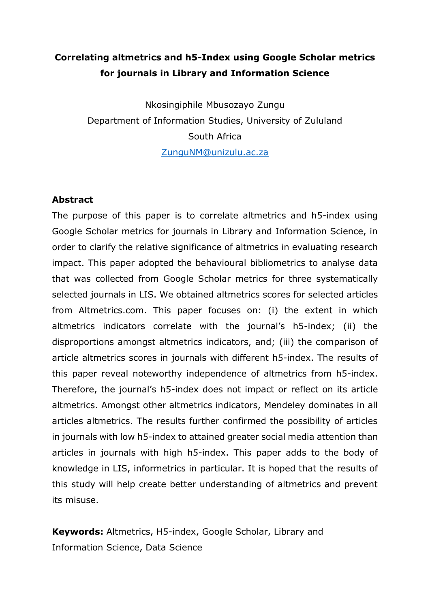## **Correlating altmetrics and h5-Index using Google Scholar metrics for journals in Library and Information Science**

Nkosingiphile Mbusozayo Zungu Department of Information Studies, University of Zululand South Africa [ZunguNM@unizulu.ac.za](mailto:ZunguNM@unizulu.ac.za)

## **Abstract**

The purpose of this paper is to correlate altmetrics and h5-index using Google Scholar metrics for journals in Library and Information Science, in order to clarify the relative significance of altmetrics in evaluating research impact. This paper adopted the behavioural bibliometrics to analyse data that was collected from Google Scholar metrics for three systematically selected journals in LIS. We obtained altmetrics scores for selected articles from Altmetrics.com. This paper focuses on: (i) the extent in which altmetrics indicators correlate with the journal's h5-index; (ii) the disproportions amongst altmetrics indicators, and; (iii) the comparison of article altmetrics scores in journals with different h5-index. The results of this paper reveal noteworthy independence of altmetrics from h5-index. Therefore, the journal's h5-index does not impact or reflect on its article altmetrics. Amongst other altmetrics indicators, Mendeley dominates in all articles altmetrics. The results further confirmed the possibility of articles in journals with low h5-index to attained greater social media attention than articles in journals with high h5-index. This paper adds to the body of knowledge in LIS, informetrics in particular. It is hoped that the results of this study will help create better understanding of altmetrics and prevent its misuse.

**Keywords:** Altmetrics, H5-index, Google Scholar, Library and Information Science, Data Science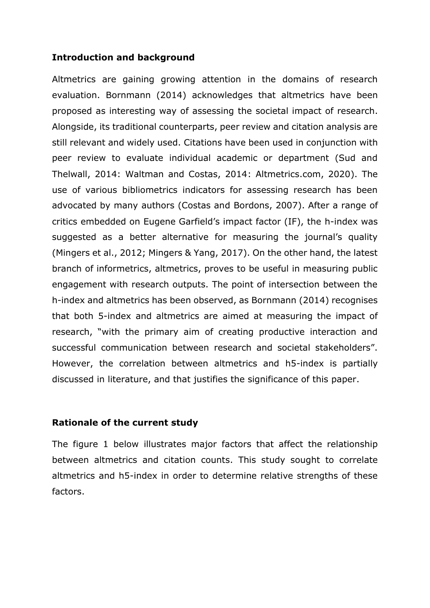#### **Introduction and background**

Altmetrics are gaining growing attention in the domains of research evaluation. Bornmann (2014) acknowledges that altmetrics have been proposed as interesting way of assessing the societal impact of research. Alongside, its traditional counterparts, peer review and citation analysis are still relevant and widely used. Citations have been used in conjunction with peer review to evaluate individual academic or department (Sud and Thelwall, 2014: Waltman and Costas, 2014: Altmetrics.com, 2020). The use of various bibliometrics indicators for assessing research has been advocated by many authors (Costas and Bordons, 2007). After a range of critics embedded on Eugene Garfield's impact factor (IF), the h-index was suggested as a better alternative for measuring the journal's quality (Mingers et al., 2012; Mingers & Yang, 2017). On the other hand, the latest branch of informetrics, altmetrics, proves to be useful in measuring public engagement with research outputs. The point of intersection between the h-index and altmetrics has been observed, as Bornmann (2014) recognises that both 5-index and altmetrics are aimed at measuring the impact of research, "with the primary aim of creating productive interaction and successful communication between research and societal stakeholders". However, the correlation between altmetrics and h5-index is partially discussed in literature, and that justifies the significance of this paper.

#### **Rationale of the current study**

The figure 1 below illustrates major factors that affect the relationship between altmetrics and citation counts. This study sought to correlate altmetrics and h5-index in order to determine relative strengths of these factors.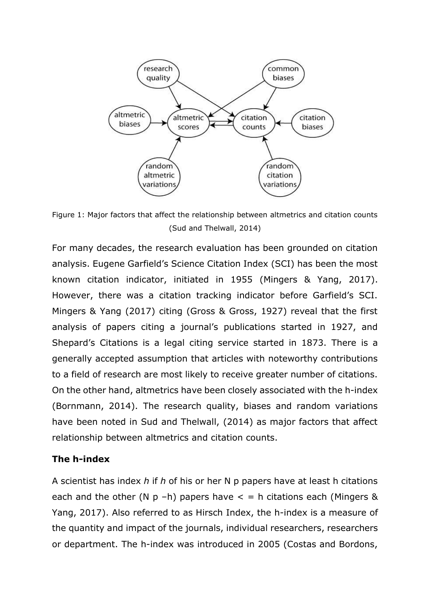

Figure 1: Major factors that affect the relationship between altmetrics and citation counts (Sud and Thelwall, 2014)

For many decades, the research evaluation has been grounded on citation analysis. Eugene Garfield's Science Citation Index (SCI) has been the most known citation indicator, initiated in 1955 (Mingers & Yang, 2017). However, there was a citation tracking indicator before Garfield's SCI. Mingers & Yang (2017) citing (Gross & Gross, 1927) reveal that the first analysis of papers citing a journal's publications started in 1927, and Shepard's Citations is a legal citing service started in 1873. There is a generally accepted assumption that articles with noteworthy contributions to a field of research are most likely to receive greater number of citations. On the other hand, altmetrics have been closely associated with the h-index (Bornmann, 2014). The research quality, biases and random variations have been noted in Sud and Thelwall, (2014) as major factors that affect relationship between altmetrics and citation counts.

#### **The h-index**

A scientist has index *h* if *h* of his or her N p papers have at least h citations each and the other (N p -h) papers have  $\lt$  = h citations each (Mingers & Yang, 2017). Also referred to as Hirsch Index, the h-index is a measure of the quantity and impact of the journals, individual researchers, researchers or department. The h-index was introduced in 2005 (Costas and Bordons,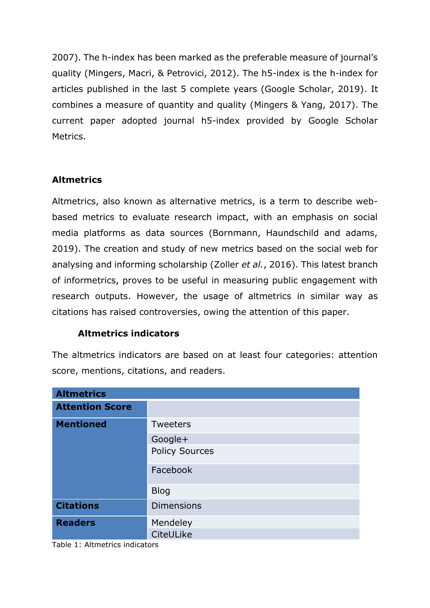2007). The h-index has been marked as the preferable measure of journal's quality (Mingers, Macri, & Petrovici, 2012). The h5-index is the h-index for articles published in the last 5 complete years (Google Scholar, 2019). It combines a measure of quantity and quality (Mingers & Yang, 2017). The current paper adopted journal h5-index provided by Google Scholar Metrics.

## **Altmetrics**

Altmetrics, also known as alternative metrics, is a term to describe webbased metrics to evaluate research impact, with an emphasis on social media platforms as data sources (Bornmann, Haundschild and adams, 2019). The creation and study of new metrics based on the social web for analysing and informing scholarship (Zoller *et al.*, 2016). This latest branch of informetrics, proves to be useful in measuring public engagement with research outputs. However, the usage of altmetrics in similar way as citations has raised controversies, owing the attention of this paper.

## **Altmetrics indicators**

The altmetrics indicators are based on at least four categories: attention score, mentions, citations, and readers.

| <b>Altmetrics</b>      |                       |
|------------------------|-----------------------|
| <b>Attention Score</b> |                       |
| <b>Mentioned</b>       | Tweeters              |
|                        | Google+               |
|                        | <b>Policy Sources</b> |
|                        | Facebook              |
|                        | <b>Blog</b>           |
| <b>Citations</b>       | <b>Dimensions</b>     |
| <b>Readers</b>         | Mendeley              |
|                        | CiteULike             |

Table 1: Altmetrics indicators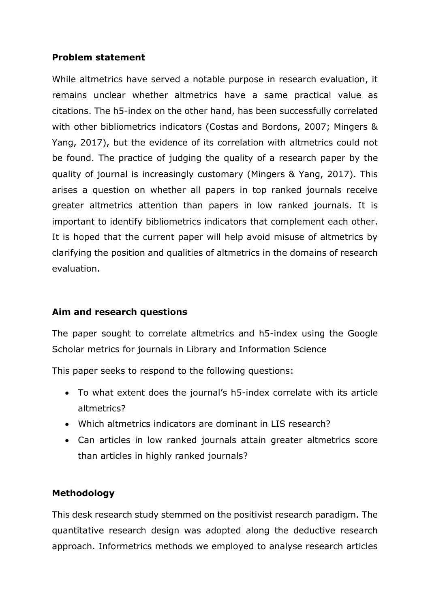## **Problem statement**

While altmetrics have served a notable purpose in research evaluation, it remains unclear whether altmetrics have a same practical value as citations. The h5-index on the other hand, has been successfully correlated with other bibliometrics indicators (Costas and Bordons, 2007; Mingers & Yang, 2017), but the evidence of its correlation with altmetrics could not be found. The practice of judging the quality of a research paper by the quality of journal is increasingly customary (Mingers & Yang, 2017). This arises a question on whether all papers in top ranked journals receive greater altmetrics attention than papers in low ranked journals. It is important to identify bibliometrics indicators that complement each other. It is hoped that the current paper will help avoid misuse of altmetrics by clarifying the position and qualities of altmetrics in the domains of research evaluation.

## **Aim and research questions**

The paper sought to correlate altmetrics and h5-index using the Google Scholar metrics for journals in Library and Information Science

This paper seeks to respond to the following questions:

- To what extent does the journal's h5-index correlate with its article altmetrics?
- Which altmetrics indicators are dominant in LIS research?
- Can articles in low ranked journals attain greater altmetrics score than articles in highly ranked journals?

## **Methodology**

This desk research study stemmed on the positivist research paradigm. The quantitative research design was adopted along the deductive research approach. Informetrics methods we employed to analyse research articles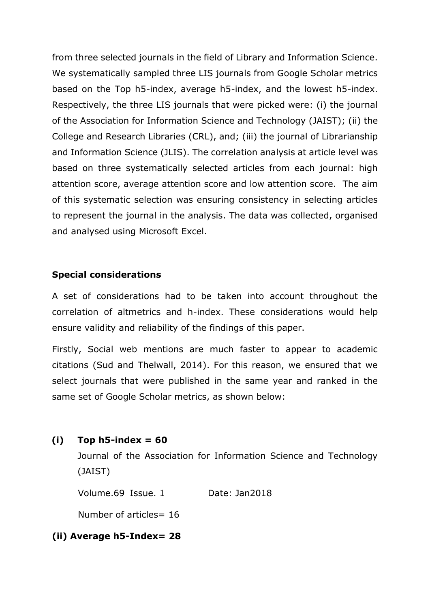from three selected journals in the field of Library and Information Science. We systematically sampled three LIS journals from Google Scholar metrics based on the Top h5-index, average h5-index, and the lowest h5-index. Respectively, the three LIS journals that were picked were: (i) the journal of the Association for Information Science and Technology (JAIST); (ii) the College and Research Libraries (CRL), and; (iii) the journal of Librarianship and Information Science (JLIS). The correlation analysis at article level was based on three systematically selected articles from each journal: high attention score, average attention score and low attention score. The aim of this systematic selection was ensuring consistency in selecting articles to represent the journal in the analysis. The data was collected, organised and analysed using Microsoft Excel.

## **Special considerations**

A set of considerations had to be taken into account throughout the correlation of altmetrics and h-index. These considerations would help ensure validity and reliability of the findings of this paper.

Firstly, Social web mentions are much faster to appear to academic citations (Sud and Thelwall, 2014). For this reason, we ensured that we select journals that were published in the same year and ranked in the same set of Google Scholar metrics, as shown below:

#### **(i) Top h5-index = 60**

Journal of the Association for Information Science and Technology (JAIST)

Volume.69 Issue. 1 Date: Jan2018

Number of articles= 16

## **(ii) Average h5-Index= 28**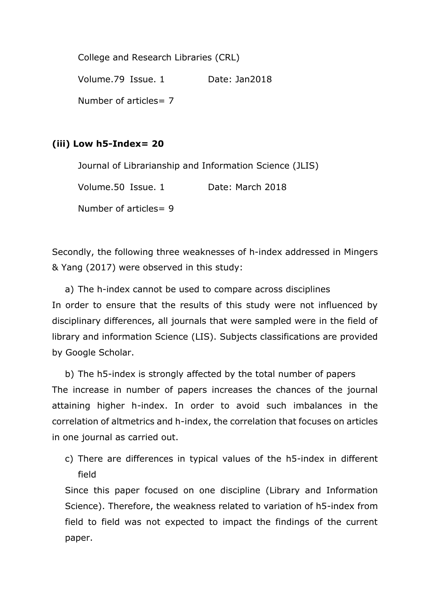College and Research Libraries (CRL) Volume.79 Issue. 1 Date: Jan2018 Number of articles= 7

## **(iii) Low h5-Index= 20**

Journal of Librarianship and Information Science (JLIS)

Volume.50 Issue. 1 Date: March 2018

Number of articles= 9

Secondly, the following three weaknesses of h-index addressed in Mingers & Yang (2017) were observed in this study:

a) The h-index cannot be used to compare across disciplines In order to ensure that the results of this study were not influenced by disciplinary differences, all journals that were sampled were in the field of library and information Science (LIS). Subjects classifications are provided by Google Scholar.

b) The h5-index is strongly affected by the total number of papers The increase in number of papers increases the chances of the journal attaining higher h-index. In order to avoid such imbalances in the correlation of altmetrics and h-index, the correlation that focuses on articles in one journal as carried out.

c) There are differences in typical values of the h5-index in different field

Since this paper focused on one discipline (Library and Information Science). Therefore, the weakness related to variation of h5-index from field to field was not expected to impact the findings of the current paper.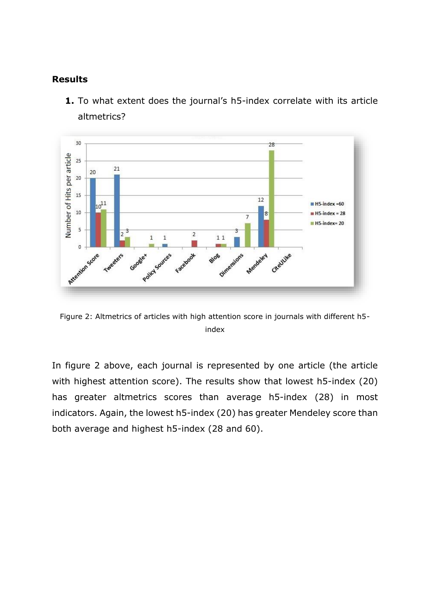#### **Results**



**1.** To what extent does the journal's h5-index correlate with its article altmetrics?

Figure 2: Altmetrics of articles with high attention score in journals with different h5 index

In figure 2 above, each journal is represented by one article (the article with highest attention score). The results show that lowest h5-index (20) has greater altmetrics scores than average h5-index (28) in most indicators. Again, the lowest h5-index (20) has greater Mendeley score than both average and highest h5-index (28 and 60).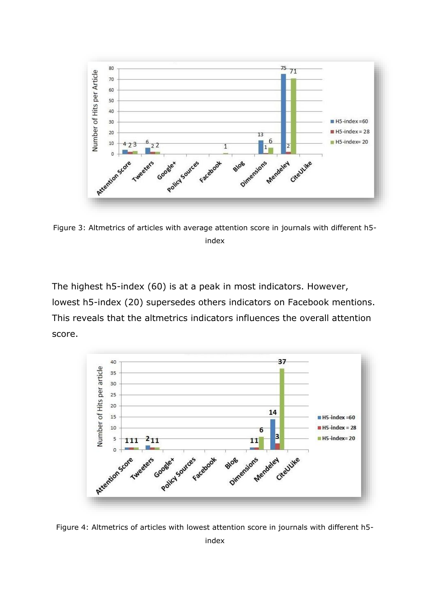

Figure 3: Altmetrics of articles with average attention score in journals with different h5 index

The highest h5-index (60) is at a peak in most indicators. However, lowest h5-index (20) supersedes others indicators on Facebook mentions. This reveals that the altmetrics indicators influences the overall attention score.



Figure 4: Altmetrics of articles with lowest attention score in journals with different h5 index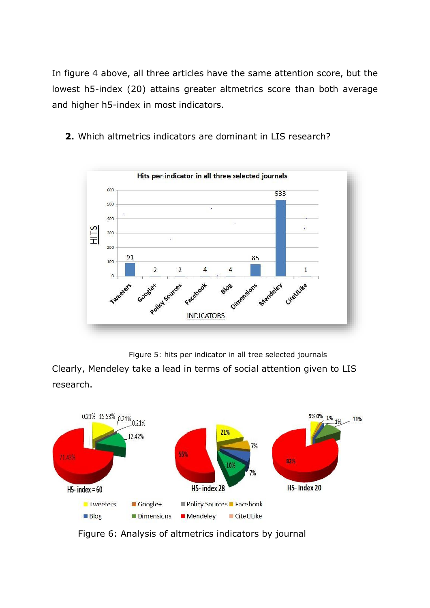In figure 4 above, all three articles have the same attention score, but the lowest h5-index (20) attains greater altmetrics score than both average and higher h5-index in most indicators.

**2.** Which altmetrics indicators are dominant in LIS research?



Figure 5: hits per indicator in all tree selected journals

Clearly, Mendeley take a lead in terms of social attention given to LIS research.



Figure 6: Analysis of altmetrics indicators by journal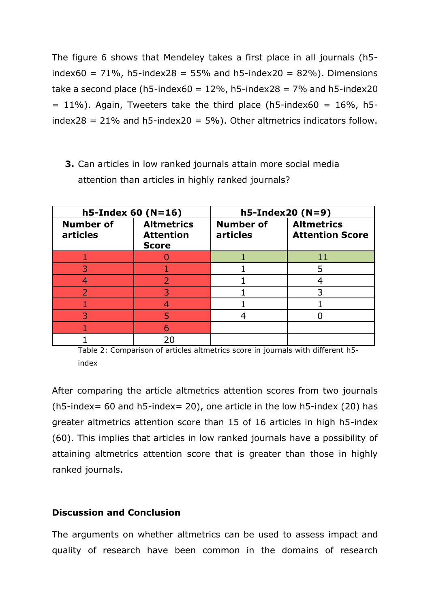The figure 6 shows that Mendeley takes a first place in all journals (h5 index60 =  $71\%$ , h5-index28 =  $55\%$  and h5-index20 =  $82\%$ ). Dimensions take a second place (h5-index60 =  $12\%$ , h5-index28 =  $7\%$  and h5-index20  $= 11\%$ ). Again, Tweeters take the third place (h5-index60 = 16%, h5index28 =  $21\%$  and h5-index20 = 5%). Other altmetrics indicators follow.

**3.** Can articles in low ranked journals attain more social media attention than articles in highly ranked journals?

| $h5$ -Index 60 (N=16)        |                                                       | $h5$ -Index20 (N=9)          |                                             |
|------------------------------|-------------------------------------------------------|------------------------------|---------------------------------------------|
| <b>Number of</b><br>articles | <b>Altmetrics</b><br><b>Attention</b><br><b>Score</b> | <b>Number of</b><br>articles | <b>Altmetrics</b><br><b>Attention Score</b> |
|                              |                                                       |                              |                                             |
|                              |                                                       |                              |                                             |
|                              |                                                       |                              |                                             |
|                              |                                                       |                              |                                             |
|                              |                                                       |                              |                                             |
|                              |                                                       |                              |                                             |
|                              | A                                                     |                              |                                             |
|                              |                                                       |                              |                                             |

Table 2: Comparison of articles altmetrics score in journals with different h5 index

After comparing the article altmetrics attention scores from two journals (h5-index= 60 and h5-index= 20), one article in the low h5-index (20) has greater altmetrics attention score than 15 of 16 articles in high h5-index (60). This implies that articles in low ranked journals have a possibility of attaining altmetrics attention score that is greater than those in highly ranked journals.

#### **Discussion and Conclusion**

The arguments on whether altmetrics can be used to assess impact and quality of research have been common in the domains of research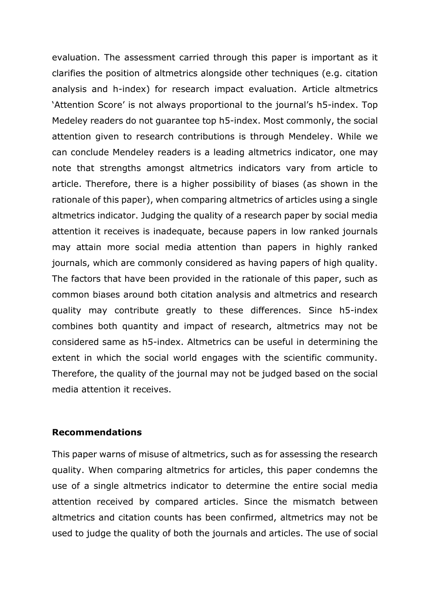evaluation. The assessment carried through this paper is important as it clarifies the position of altmetrics alongside other techniques (e.g. citation analysis and h-index) for research impact evaluation. Article altmetrics 'Attention Score' is not always proportional to the journal's h5-index. Top Medeley readers do not guarantee top h5-index. Most commonly, the social attention given to research contributions is through Mendeley. While we can conclude Mendeley readers is a leading altmetrics indicator, one may note that strengths amongst altmetrics indicators vary from article to article. Therefore, there is a higher possibility of biases (as shown in the rationale of this paper), when comparing altmetrics of articles using a single altmetrics indicator. Judging the quality of a research paper by social media attention it receives is inadequate, because papers in low ranked journals may attain more social media attention than papers in highly ranked journals, which are commonly considered as having papers of high quality. The factors that have been provided in the rationale of this paper, such as common biases around both citation analysis and altmetrics and research quality may contribute greatly to these differences. Since h5-index combines both quantity and impact of research, altmetrics may not be considered same as h5-index. Altmetrics can be useful in determining the extent in which the social world engages with the scientific community. Therefore, the quality of the journal may not be judged based on the social media attention it receives.

#### **Recommendations**

This paper warns of misuse of altmetrics, such as for assessing the research quality. When comparing altmetrics for articles, this paper condemns the use of a single altmetrics indicator to determine the entire social media attention received by compared articles. Since the mismatch between altmetrics and citation counts has been confirmed, altmetrics may not be used to judge the quality of both the journals and articles. The use of social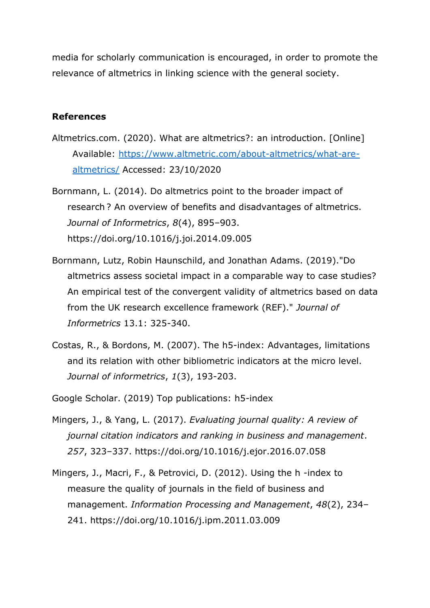media for scholarly communication is encouraged, in order to promote the relevance of altmetrics in linking science with the general society.

#### **References**

- Altmetrics.com. (2020). What are altmetrics?: an introduction. [Online] Available: [https://www.altmetric.com/about-altmetrics/what-are](https://www.altmetric.com/about-altmetrics/what-are-altmetrics/)[altmetrics/](https://www.altmetric.com/about-altmetrics/what-are-altmetrics/) Accessed: 23/10/2020
- Bornmann, L. (2014). Do altmetrics point to the broader impact of research ? An overview of benefits and disadvantages of altmetrics. *Journal of Informetrics*, *8*(4), 895–903. https://doi.org/10.1016/j.joi.2014.09.005
- Bornmann, Lutz, Robin Haunschild, and Jonathan Adams. (2019)."Do altmetrics assess societal impact in a comparable way to case studies? An empirical test of the convergent validity of altmetrics based on data from the UK research excellence framework (REF)." *Journal of Informetrics* 13.1: 325-340.
- Costas, R., & Bordons, M. (2007). The h5-index: Advantages, limitations and its relation with other bibliometric indicators at the micro level. *Journal of informetrics*, *1*(3), 193-203.
- Google Scholar. (2019) Top publications: h5-index
- Mingers, J., & Yang, L. (2017). *Evaluating journal quality: A review of journal citation indicators and ranking in business and management*. *257*, 323–337. https://doi.org/10.1016/j.ejor.2016.07.058
- Mingers, J., Macri, F., & Petrovici, D. (2012). Using the h -index to measure the quality of journals in the field of business and management. *Information Processing and Management*, *48*(2), 234– 241. https://doi.org/10.1016/j.ipm.2011.03.009